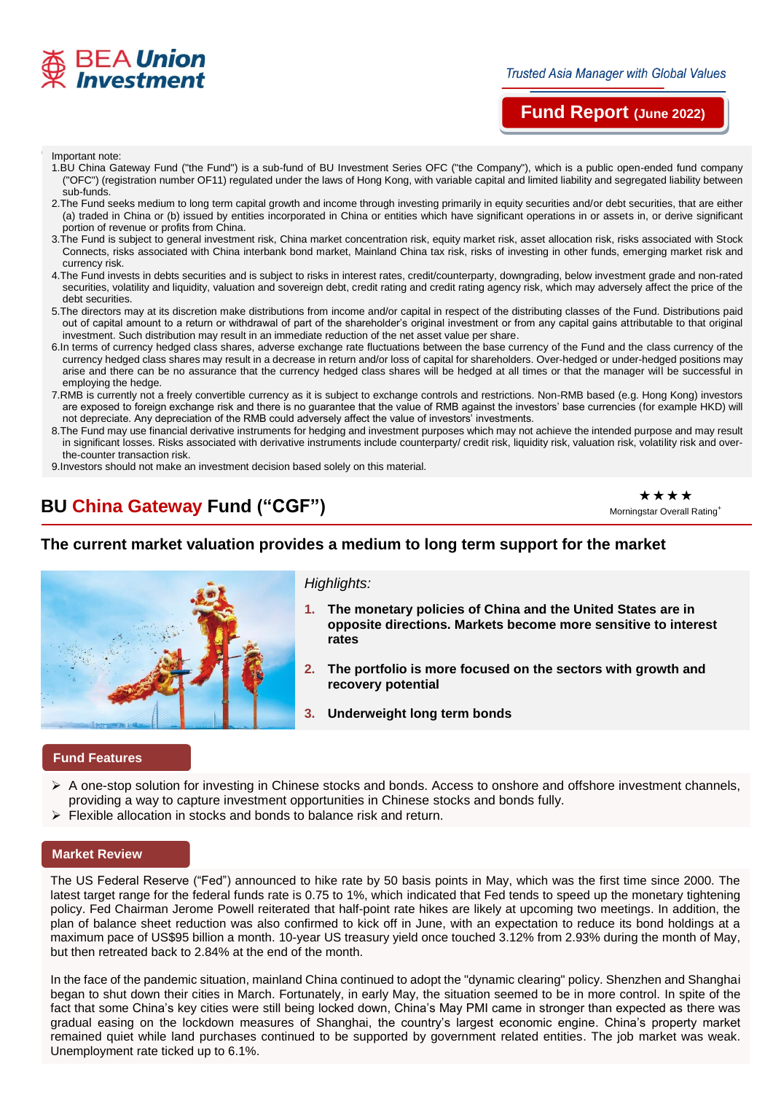

# **Fund Report (June 2022)**

# **'**尸 **p** Important note:

- 1.BU China Gateway Fund ("the Fund") is a sub-fund of BU Investment Series OFC ("the Company"), which is a public open-ended fund company ("OFC") (registration number OF11) regulated under the laws of Hong Kong, with variable capital and limited liability and segregated liability between sub-funds.
- 2. The Fund seeks medium to long term capital growth and income through investing primarily in equity securities and/or debt securities, that are either (a) traded in China or (b) issued by entities incorporated in China or entities which have significant operations in or assets in, or derive significant portion of revenue or profits from China.
- 3.The Fund is subject to general investment risk, China market concentration risk, equity market risk, asset allocation risk, risks associated with Stock Connects, risks associated with China interbank bond market, Mainland China tax risk, risks of investing in other funds, emerging market risk and currency risk.
- 4.The Fund invests in debts securities and is subject to risks in interest rates, credit/counterparty, downgrading, below investment grade and non-rated securities, volatility and liquidity, valuation and sovereign debt, credit rating and credit rating agency risk, which may adversely affect the price of the debt securities.
- 5.The directors may at its discretion make distributions from income and/or capital in respect of the distributing classes of the Fund. Distributions paid out of capital amount to a return or withdrawal of part of the shareholder's original investment or from any capital gains attributable to that original investment. Such distribution may result in an immediate reduction of the net asset value per share.
- 6.In terms of currency hedged class shares, adverse exchange rate fluctuations between the base currency of the Fund and the class currency of the currency hedged class shares may result in a decrease in return and/or loss of capital for shareholders. Over-hedged or under-hedged positions may arise and there can be no assurance that the currency hedged class shares will be hedged at all times or that the manager will be successful in employing the hedge.
- 7.RMB is currently not a freely convertible currency as it is subject to exchange controls and restrictions. Non-RMB based (e.g. Hong Kong) investors are exposed to foreign exchange risk and there is no guarantee that the value of RMB against the investors' base currencies (for example HKD) will not depreciate. Any depreciation of the RMB could adversely affect the value of investors' investments.
- 8.The Fund may use financial derivative instruments for hedging and investment purposes which may not achieve the intended purpose and may result in significant losses. Risks associated with derivative instruments include counterparty/ credit risk, liquidity risk, valuation risk, volatility risk and overthe-counter transaction risk.
- 9.Investors should not make an investment decision based solely on this material.

# **BU China Gateway Fund ("CGF")**

\*\*\*\* Morningstar Overall Rating<sup>+</sup>

## **The current market valuation provides a medium to long term support for the market**



## *Highlights:*

- **1. The monetary policies of China and the United States are in opposite directions. Markets become more sensitive to interest rates**
- **2. The portfolio is more focused on the sectors with growth and recovery potential**
- **3. Underweight long term bonds**

### **Fund Features**

- A one-stop solution for investing in Chinese stocks and bonds. Access to onshore and offshore investment channels, providing a way to capture investment opportunities in Chinese stocks and bonds fully.
- Flexible allocation in stocks and bonds to balance risk and return.

#### **Market Review**

The US Federal Reserve ("Fed") announced to hike rate by 50 basis points in May, which was the first time since 2000. The latest target range for the federal funds rate is 0.75 to 1%, which indicated that Fed tends to speed up the monetary tightening policy. Fed Chairman Jerome Powell reiterated that half-point rate hikes are likely at upcoming two meetings. In addition, the plan of balance sheet reduction was also confirmed to kick off in June, with an expectation to reduce its bond holdings at a maximum pace of US\$95 billion a month. 10-year US treasury yield once touched 3.12% from 2.93% during the month of May, but then retreated back to 2.84% at the end of the month.

In the face of the pandemic situation, mainland China continued to adopt the "dynamic clearing" policy. Shenzhen and Shanghai began to shut down their cities in March. Fortunately, in early May, the situation seemed to be in more control. In spite of the fact that some China's key cities were still being locked down, China's May PMI came in stronger than expected as there was gradual easing on the lockdown measures of Shanghai, the country's largest economic engine. China's property market remained quiet while land purchases continued to be supported by government related entities. The job market was weak. Unemployment rate ticked up to 6.1%.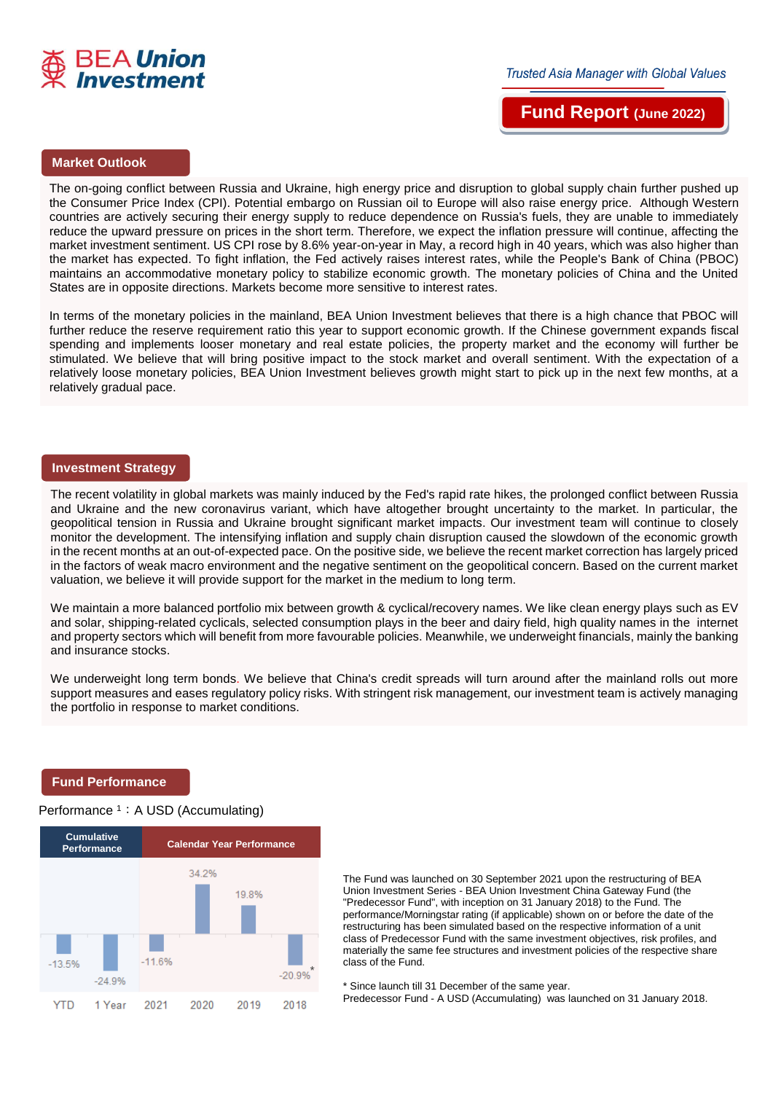

**Trusted Asia Manager with Global Values** 

**Fund Report (June 2022)**

## **Market Outlook**

The on-going conflict between Russia and Ukraine, high energy price and disruption to global supply chain further pushed up the Consumer Price Index (CPI). Potential embargo on Russian oil to Europe will also raise energy price. Although Western countries are actively securing their energy supply to reduce dependence on Russia's fuels, they are unable to immediately reduce the upward pressure on prices in the short term. Therefore, we expect the inflation pressure will continue, affecting the market investment sentiment. US CPI rose by 8.6% year-on-year in May, a record high in 40 years, which was also higher than the market has expected. To fight inflation, the Fed actively raises interest rates, while the People's Bank of China (PBOC) maintains an accommodative monetary policy to stabilize economic growth. The monetary policies of China and the United States are in opposite directions. Markets become more sensitive to interest rates.

In terms of the monetary policies in the mainland, BEA Union Investment believes that there is a high chance that PBOC will further reduce the reserve requirement ratio this year to support economic growth. If the Chinese government expands fiscal spending and implements looser monetary and real estate policies, the property market and the economy will further be stimulated. We believe that will bring positive impact to the stock market and overall sentiment. With the expectation of a relatively loose monetary policies, BEA Union Investment believes growth might start to pick up in the next few months, at a relatively gradual pace.

#### **Investment Strategy**

The recent volatility in global markets was mainly induced by the Fed's rapid rate hikes, the prolonged conflict between Russia and Ukraine and the new coronavirus variant, which have altogether brought uncertainty to the market. In particular, the geopolitical tension in Russia and Ukraine brought significant market impacts. Our investment team will continue to closely monitor the development. The intensifying inflation and supply chain disruption caused the slowdown of the economic growth in the recent months at an out-of-expected pace. On the positive side, we believe the recent market correction has largely priced in the factors of weak macro environment and the negative sentiment on the geopolitical concern. Based on the current market valuation, we believe it will provide support for the market in the medium to long term.

We maintain a more balanced portfolio mix between growth & cyclical/recovery names. We like clean energy plays such as EV and solar, shipping-related cyclicals, selected consumption plays in the beer and dairy field, high quality names in the internet and property sectors which will benefit from more favourable policies. Meanwhile, we underweight financials, mainly the banking and insurance stocks.

We underweight long term bonds. We believe that China's credit spreads will turn around after the mainland rolls out more support measures and eases regulatory policy risks. With stringent risk management, our investment team is actively managing the portfolio in response to market conditions.

#### **Fund Performance**

#### Performance <sup>1</sup>: A USD (Accumulating)



The Fund was launched on 30 September 2021 upon the restructuring of BEA Union Investment Series - BEA Union Investment China Gateway Fund (the "Predecessor Fund", with inception on 31 January 2018) to the Fund. The performance/Morningstar rating (if applicable) shown on or before the date of the restructuring has been simulated based on the respective information of a unit class of Predecessor Fund with the same investment objectives, risk profiles, and materially the same fee structures and investment policies of the respective share class of the Fund.

\* Since launch till 31 December of the same year.

Predecessor Fund - A USD (Accumulating) was launched on 31 January 2018.